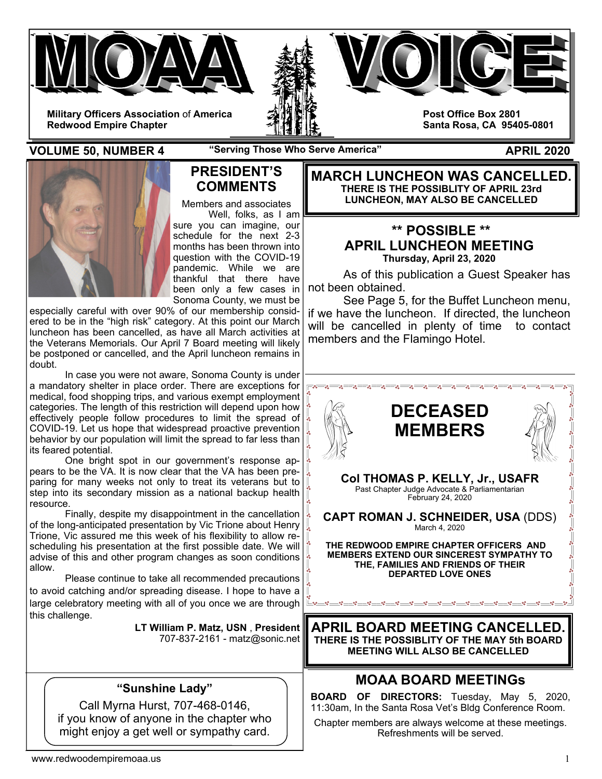

**VOLUME 50, NUMBER 4** "Serving Those Who Serve America" APRIL 2020



## **PRESIDENT'S COMMENTS**

Members and associates Well, folks, as I am sure you can imagine, our schedule for the next 2-3 months has been thrown into question with the COVID-19 pandemic. While we are thankful that there have been only a few cases in Sonoma County, we must be

especially careful with over 90% of our membership considered to be in the "high risk" category. At this point our March luncheon has been cancelled, as have all March activities at the Veterans Memorials. Our April 7 Board meeting will likely be postponed or cancelled, and the April luncheon remains in doubt.

 In case you were not aware, Sonoma County is under a mandatory shelter in place order. There are exceptions for medical, food shopping trips, and various exempt employment categories. The length of this restriction will depend upon how  $\vert$ effectively people follow procedures to limit the spread of  $\|\cdot\|$ COVID-19. Let us hope that widespread proactive prevention behavior by our population will limit the spread to far less than its feared potential.

 One bright spot in our government's response appears to be the VA. It is now clear that the VA has been prepears to be the v.d. it is now side, that the contract its veterans but to  $\int_{a}$  $\sum_{i=1}^{n}$  is the interference its secondary mission as a national backup health  $\int_{a}^{\infty}$ resource.

Finally, despite my disappointment in the cancellation  $\vert \cdot \vert$ of the long-anticipated presentation by Vic Trione about Henry  $\left|\frac{1}{2}\right|$ Trione, Vic assured me this week of his flexibility to allow rescheduling his presentation at the first possible date. We will advise of this and other program changes as soon conditions  $\left|\frac{1}{2}\right|$ allow.

 Please continue to take all recommended precautions to avoid catching and/or spreading disease. I hope to have a large celebratory meeting with all of you once we are through this challenge.

| LT William P. Matz, USN, President |
|------------------------------------|
| 707-837-2161 - matz@sonic.net      |

## **"Sunshine Lady"**

Call Myrna Hurst, 707-468-0146, if you know of anyone in the chapter who might enjoy a get well or sympathy card.

**MARCH LUNCHEON WAS CANCELLED. THERE IS THE POSSIBLITY OF APRIL 23rd LUNCHEON, MAY ALSO BE CANCELLED** 

## **\*\* POSSIBLE \*\* APRIL LUNCHEON MEETING Thursday, April 23, 2020**

 As of this publication a Guest Speaker has not been obtained.

 See Page 5, for the Buffet Luncheon menu, if we have the luncheon. If directed, the luncheon will be cancelled in plenty of time to contact members and the Flamingo Hotel.



## **MOAA BOARD MEETINGs**

**BOARD OF DIRECTORS:** Tuesday, May 5, 2020, 11:30am, In the Santa Rosa Vet's Bldg Conference Room.

Chapter members are always welcome at these meetings. Refreshments will be served.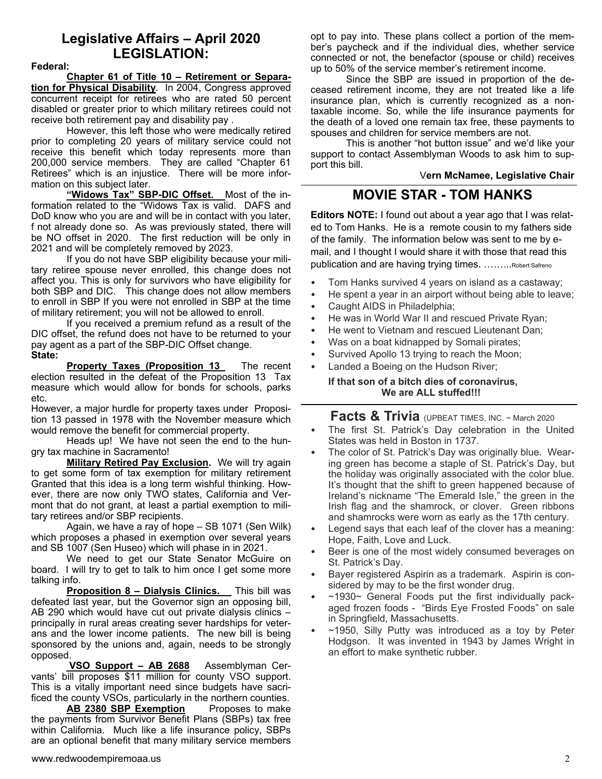## **Legislative Affairs – April 2020 LEGISLATION:**

### **Federal:**

**Chapter 61 of Title 10 – Retirement or Separation for Physical Disability**. In 2004, Congress approved concurrent receipt for retirees who are rated 50 percent disabled or greater prior to which military retirees could not receive both retirement pay and disability pay .

However, this left those who were medically retired prior to completing 20 years of military service could not receive this benefit which today represents more than 200,000 service members. They are called "Chapter 61 Retirees" which is an injustice. There will be more information on this subject later.

**"Widows Tax" SBP-DIC Offset.** Most of the information related to the "Widows Tax is valid. DAFS and DoD know who you are and will be in contact with you later, f not already done so. As was previously stated, there will be NO offset in 2020. The first reduction will be only in 2021 and will be completely removed by 2023.

If you do not have SBP eligibility because your military retiree spouse never enrolled, this change does not affect you. This is only for survivors who have eligibility for both SBP and DIC. This change does not allow members to enroll in SBP If you were not enrolled in SBP at the time of military retirement; you will not be allowed to enroll.

If you received a premium refund as a result of the DIC offset, the refund does not have to be returned to your pay agent as a part of the SBP-DIC Offset change. **State:**

**Property Taxes (Proposition 13** The recent election resulted in the defeat of the Proposition 13 Tax measure which would allow for bonds for schools, parks etc.

However, a major hurdle for property taxes under Proposition 13 passed in 1978 with the November measure which would remove the benefit for commercial property.

 Heads up! We have not seen the end to the hungry tax machine in Sacramento!

**Military Retired Pay Exclusion.** We will try again to get some form of tax exemption for military retirement Granted that this idea is a long term wishful thinking. However, there are now only TWO states, California and Vermont that do not grant, at least a partial exemption to military retirees and/or SBP recipients.

 Again, we have a ray of hope – SB 1071 (Sen Wilk) which proposes a phased in exemption over several years and SB 1007 (Sen Huseo) which will phase in in 2021.

 We need to get our State Senator McGuire on board. I will try to get to talk to him once I get some more talking info.

**Proposition 8 - Dialysis Clinics.** This bill was defeated last year, but the Governor sign an opposing bill, AB 290 which would have cut out private dialysis clinics – principally in rural areas creating sever hardships for veterans and the lower income patients. The new bill is being sponsored by the unions and, again, needs to be strongly opposed.

 **VSO Support – AB 2688** Assemblyman Cervants' bill proposes \$11 million for county VSO support. This is a vitally important need since budgets have sacrificed the county VSOs, particularly in the northern counties.

 **AB 2380 SBP Exemption** Proposes to make the payments from Survivor Benefit Plans (SBPs) tax free within California. Much like a life insurance policy, SBPs are an optional benefit that many military service members opt to pay into. These plans collect a portion of the member's paycheck and if the individual dies, whether service connected or not, the benefactor (spouse or child) receives up to 50% of the service member's retirement income.

 Since the SBP are issued in proportion of the deceased retirement income, they are not treated like a life insurance plan, which is currently recognized as a nontaxable income. So, while the life insurance payments for the death of a loved one remain tax free, these payments to spouses and children for service members are not.

 This is another "hot button issue" and we'd like your support to contact Assemblyman Woods to ask him to support this bill.

### V**ern McNamee, Legislative Chair**

## **MOVIE STAR - TOM HANKS**

**Editors NOTE:** I found out about a year ago that I was related to Tom Hanks. He is a remote cousin to my fathers side of the family. The information below was sent to me by email, and I thought I would share it with those that read this publication and are having trying times. ……...Robert Safreno

- Tom Hanks survived 4 years on island as a castaway;
- He spent a year in an airport without being able to leave;
- Caught AIDS in Philadelphia;
- He was in World War II and rescued Private Ryan;
- He went to Vietnam and rescued Lieutenant Dan;
- Was on a boat kidnapped by Somali pirates;
- Survived Apollo 13 trying to reach the Moon;
- Landed a Boeing on the Hudson River;

**If that son of a bitch dies of coronavirus, We are ALL stuffed!!!** 

## **Facts & Trivia** (UPBEAT TIMES, INC. ~ March 2020

- The first St. Patrick's Day celebration in the United States was held in Boston in 1737.
- The color of St. Patrick's Day was originally blue. Wearing green has become a staple of St. Patrick's Day, but the holiday was originally associated with the color blue. It's thought that the shift to green happened because of Ireland's nickname "The Emerald Isle," the green in the Irish flag and the shamrock, or clover. Green ribbons and shamrocks were worn as early as the 17th century.
- Legend says that each leaf of the clover has a meaning: Hope, Faith, Love and Luck.
- Beer is one of the most widely consumed beverages on St. Patrick's Day.
- Bayer registered Aspirin as a trademark. Aspirin is considered by may to be the first wonder drug.
- $\sim$ 1930 $\sim$  General Foods put the first individually packaged frozen foods - "Birds Eye Frosted Foods" on sale in Springfield, Massachusetts.
- $\sim$ 1950, Silly Putty was introduced as a toy by Peter Hodgson. It was invented in 1943 by James Wright in an effort to make synthetic rubber.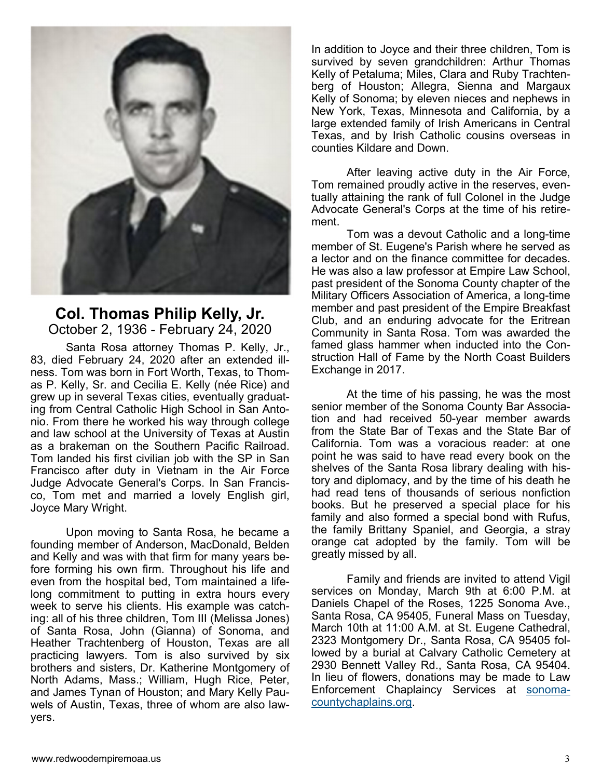

## **Col. Thomas Philip Kelly, Jr.**  October 2, 1936 - February 24, 2020

Santa Rosa attorney Thomas P. Kelly, Jr., 83, died February 24, 2020 after an extended illness. Tom was born in Fort Worth, Texas, to Thomas P. Kelly, Sr. and Cecilia E. Kelly (née Rice) and grew up in several Texas cities, eventually graduating from Central Catholic High School in San Antonio. From there he worked his way through college and law school at the University of Texas at Austin as a brakeman on the Southern Pacific Railroad. Tom landed his first civilian job with the SP in San Francisco after duty in Vietnam in the Air Force Judge Advocate General's Corps. In San Francisco, Tom met and married a lovely English girl, Joyce Mary Wright.

 Upon moving to Santa Rosa, he became a founding member of Anderson, MacDonald, Belden and Kelly and was with that firm for many years before forming his own firm. Throughout his life and even from the hospital bed, Tom maintained a lifelong commitment to putting in extra hours every week to serve his clients. His example was catching: all of his three children, Tom III (Melissa Jones) of Santa Rosa, John (Gianna) of Sonoma, and Heather Trachtenberg of Houston, Texas are all practicing lawyers. Tom is also survived by six brothers and sisters, Dr. Katherine Montgomery of North Adams, Mass.; William, Hugh Rice, Peter, and James Tynan of Houston; and Mary Kelly Pauwels of Austin, Texas, three of whom are also lawyers.

In addition to Joyce and their three children, Tom is survived by seven grandchildren: Arthur Thomas Kelly of Petaluma; Miles, Clara and Ruby Trachtenberg of Houston; Allegra, Sienna and Margaux Kelly of Sonoma; by eleven nieces and nephews in New York, Texas, Minnesota and California, by a large extended family of Irish Americans in Central Texas, and by Irish Catholic cousins overseas in counties Kildare and Down.

 After leaving active duty in the Air Force, Tom remained proudly active in the reserves, eventually attaining the rank of full Colonel in the Judge Advocate General's Corps at the time of his retirement.

 Tom was a devout Catholic and a long-time member of St. Eugene's Parish where he served as a lector and on the finance committee for decades. He was also a law professor at Empire Law School, past president of the Sonoma County chapter of the Military Officers Association of America, a long-time member and past president of the Empire Breakfast Club, and an enduring advocate for the Eritrean Community in Santa Rosa. Tom was awarded the famed glass hammer when inducted into the Construction Hall of Fame by the North Coast Builders Exchange in 2017.

 At the time of his passing, he was the most senior member of the Sonoma County Bar Association and had received 50-year member awards from the State Bar of Texas and the State Bar of California. Tom was a voracious reader: at one point he was said to have read every book on the shelves of the Santa Rosa library dealing with history and diplomacy, and by the time of his death he had read tens of thousands of serious nonfiction books. But he preserved a special place for his family and also formed a special bond with Rufus, the family Brittany Spaniel, and Georgia, a stray orange cat adopted by the family. Tom will be greatly missed by all.

 Family and friends are invited to attend Vigil services on Monday, March 9th at 6:00 P.M. at Daniels Chapel of the Roses, 1225 Sonoma Ave., Santa Rosa, CA 95405, Funeral Mass on Tuesday, March 10th at 11:00 A.M. at St. Eugene Cathedral, 2323 Montgomery Dr., Santa Rosa, CA 95405 followed by a burial at Calvary Catholic Cemetery at 2930 Bennett Valley Rd., Santa Rosa, CA 95404. In lieu of flowers, donations may be made to Law Enforcement Chaplaincy Services at sonomacountychaplains.org.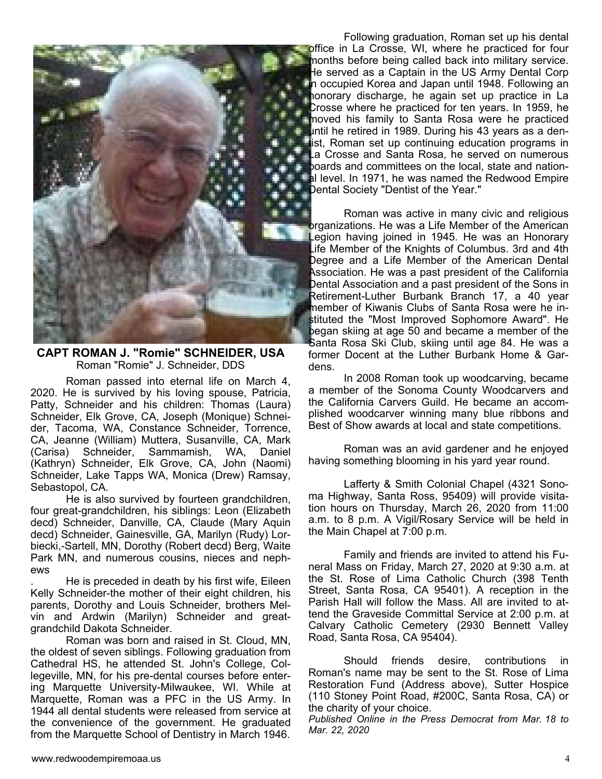

**CAPT ROMAN J. "Romie" SCHNEIDER, USA**  Roman "Romie" J. Schneider, DDS

Roman passed into eternal life on March 4, 2020. He is survived by his loving spouse, Patricia, Patty, Schneider and his children: Thomas (Laura) Schneider, Elk Grove, CA, Joseph (Monique) Schneider, Tacoma, WA, Constance Schneider, Torrence, CA, Jeanne (William) Muttera, Susanville, CA, Mark (Carisa) Schneider, Sammamish, WA, Daniel (Kathryn) Schneider, Elk Grove, CA, John (Naomi) Schneider, Lake Tapps WA, Monica (Drew) Ramsay, Sebastopol, CA.

 He is also survived by fourteen grandchildren, four great-grandchildren, his siblings: Leon (Elizabeth decd) Schneider, Danville, CA, Claude (Mary Aquin decd) Schneider, Gainesville, GA, Marilyn (Rudy) Lorbiecki,-Sartell, MN, Dorothy (Robert decd) Berg, Waite Park MN, and numerous cousins, nieces and nephews

. He is preceded in death by his first wife, Eileen Kelly Schneider-the mother of their eight children, his parents, Dorothy and Louis Schneider, brothers Melvin and Ardwin (Marilyn) Schneider and greatgrandchild Dakota Schneider.

 Roman was born and raised in St. Cloud, MN, the oldest of seven siblings. Following graduation from Cathedral HS, he attended St. John's College, Collegeville, MN, for his pre-dental courses before entering Marquette University-Milwaukee, WI. While at Marquette, Roman was a PFC in the US Army. In 1944 all dental students were released from service at the convenience of the government. He graduated from the Marquette School of Dentistry in March 1946.

 Following graduation, Roman set up his dental office in La Crosse, WI, where he practiced for four months before being called back into military service. He served as a Captain in the US Army Dental Corp **Fin occupied Korea and Japan until 1948. Following an H**honorary discharge, he again set up practice in La **Crosse where he practiced for ten years. In 1959, he I** moved his family to Santa Rosa were he practiced **until he retired in 1989. During his 43 years as a den**tist, Roman set up continuing education programs in La Crosse and Santa Rosa, he served on numerous **Follocards and committees on the local, state and nation-All level. In 1971, he was named the Redwood Empire Dental Society "Dentist of the Year."** ì

 Roman was active in many civic and religious brganizations. He was a Life Member of the American Legion having joined in 1945. He was an Honorary Life Member of the Knights of Columbus. 3rd and 4th Degree and a Life Member of the American Dental Association. He was a past president of the California Dental Association and a past president of the Sons in Retirement-Luther Burbank Branch 17, a 40 year member of Kiwanis Clubs of Santa Rosa were he instituted the "Most Improved Sophomore Award". He began skiing at age 50 and became a member of the Santa Rosa Ski Club, skiing until age 84. He was a former Docent at the Luther Burbank Home & Gardens.

 In 2008 Roman took up woodcarving, became a member of the Sonoma County Woodcarvers and the California Carvers Guild. He became an accomplished woodcarver winning many blue ribbons and Best of Show awards at local and state competitions.

 Roman was an avid gardener and he enjoyed having something blooming in his yard year round.

 Lafferty & Smith Colonial Chapel (4321 Sonoma Highway, Santa Ross, 95409) will provide visitation hours on Thursday, March 26, 2020 from 11:00 a.m. to 8 p.m. A Vigil/Rosary Service will be held in the Main Chapel at 7:00 p.m.

 Family and friends are invited to attend his Funeral Mass on Friday, March 27, 2020 at 9:30 a.m. at the St. Rose of Lima Catholic Church (398 Tenth Street, Santa Rosa, CA 95401). A reception in the Parish Hall will follow the Mass. All are invited to attend the Graveside Committal Service at 2:00 p.m. at Calvary Catholic Cemetery (2930 Bennett Valley Road, Santa Rosa, CA 95404).

 Should friends desire, contributions in Roman's name may be sent to the St. Rose of Lima Restoration Fund (Address above), Sutter Hospice (110 Stoney Point Road, #200C, Santa Rosa, CA) or the charity of your choice.

*Published Online in the Press Democrat from Mar. 18 to Mar. 22, 2020*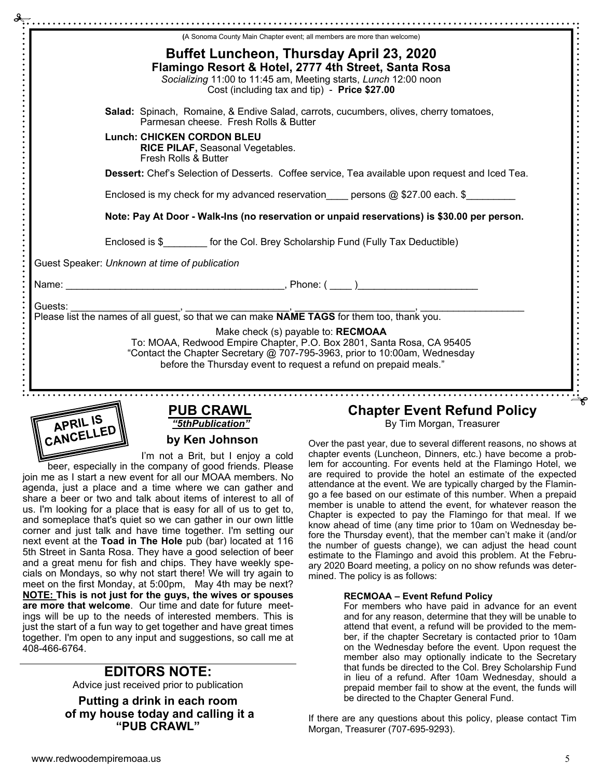|         | (A Sonoma County Main Chapter event; all members are more than welcome)                                                                                                                                                                                       |  |  |  |  |
|---------|---------------------------------------------------------------------------------------------------------------------------------------------------------------------------------------------------------------------------------------------------------------|--|--|--|--|
|         | <b>Buffet Luncheon, Thursday April 23, 2020</b><br>Flamingo Resort & Hotel, 2777 4th Street, Santa Rosa<br>Socializing 11:00 to 11:45 am, Meeting starts, Lunch 12:00 noon<br>Cost (including tax and tip) - Price \$27.00                                    |  |  |  |  |
|         | Salad: Spinach, Romaine, & Endive Salad, carrots, cucumbers, olives, cherry tomatoes,<br>Parmesan cheese. Fresh Rolls & Butter                                                                                                                                |  |  |  |  |
|         | <b>Lunch: CHICKEN CORDON BLEU</b><br><b>RICE PILAF, Seasonal Vegetables.</b><br>Fresh Rolls & Butter                                                                                                                                                          |  |  |  |  |
|         | Dessert: Chef's Selection of Desserts. Coffee service, Tea available upon request and Iced Tea.<br>Enclosed is my check for my advanced reservation persons $@$ \$27.00 each. \$                                                                              |  |  |  |  |
|         |                                                                                                                                                                                                                                                               |  |  |  |  |
|         | Note: Pay At Door - Walk-Ins (no reservation or unpaid reservations) is \$30.00 per person.                                                                                                                                                                   |  |  |  |  |
|         | Enclosed is \$_________ for the Col. Brey Scholarship Fund (Fully Tax Deductible)                                                                                                                                                                             |  |  |  |  |
|         | Guest Speaker: Unknown at time of publication                                                                                                                                                                                                                 |  |  |  |  |
|         |                                                                                                                                                                                                                                                               |  |  |  |  |
| Guests: |                                                                                                                                                                                                                                                               |  |  |  |  |
|         | Make check (s) payable to: RECMOAA<br>To: MOAA, Redwood Empire Chapter, P.O. Box 2801, Santa Rosa, CA 95405<br>"Contact the Chapter Secretary @ 707-795-3963, prior to 10:00am, Wednesday<br>before the Thursday event to request a refund on prepaid meals." |  |  |  |  |



**PUB CRAWL**  *"5thPublication"* 

**by Ken Johnson** 

I'm not a Brit, but I enjoy a cold

beer, especially in the company of good friends. Please join me as I start a new event for all our MOAA members. No agenda, just a place and a time where we can gather and share a beer or two and talk about items of interest to all of us. I'm looking for a place that is easy for all of us to get to, and someplace that's quiet so we can gather in our own little corner and just talk and have time together. I'm setting our next event at the **Toad in The Hole** pub (bar) located at 116 5th Street in Santa Rosa. They have a good selection of beer and a great menu for fish and chips. They have weekly specials on Mondays, so why not start there! We will try again to meet on the first Monday, at 5:00pm, May 4th may be next? **NOTE: This is not just for the guys, the wives or spouses are more that welcome**. Our time and date for future meetings will be up to the needs of interested members. This is just the start of a fun way to get together and have great times together. I'm open to any input and suggestions, so call me at 408-466-6764.

## **EDITORS NOTE:**

Advice just received prior to publication

**Putting a drink in each room of my house today and calling it a "PUB CRAWL"** 

# **Chapter Event Refund Policy**

By Tim Morgan, Treasurer

Over the past year, due to several different reasons, no shows at chapter events (Luncheon, Dinners, etc.) have become a problem for accounting. For events held at the Flamingo Hotel, we are required to provide the hotel an estimate of the expected attendance at the event. We are typically charged by the Flamingo a fee based on our estimate of this number. When a prepaid member is unable to attend the event, for whatever reason the Chapter is expected to pay the Flamingo for that meal. If we know ahead of time (any time prior to 10am on Wednesday before the Thursday event), that the member can't make it (and/or the number of guests change), we can adjust the head count estimate to the Flamingo and avoid this problem. At the February 2020 Board meeting, a policy on no show refunds was determined. The policy is as follows:

#### **RECMOAA – Event Refund Policy**

For members who have paid in advance for an event and for any reason, determine that they will be unable to attend that event, a refund will be provided to the member, if the chapter Secretary is contacted prior to 10am on the Wednesday before the event. Upon request the member also may optionally indicate to the Secretary that funds be directed to the Col. Brey Scholarship Fund in lieu of a refund. After 10am Wednesday, should a prepaid member fail to show at the event, the funds will be directed to the Chapter General Fund.

If there are any questions about this policy, please contact Tim Morgan, Treasurer (707-695-9293).